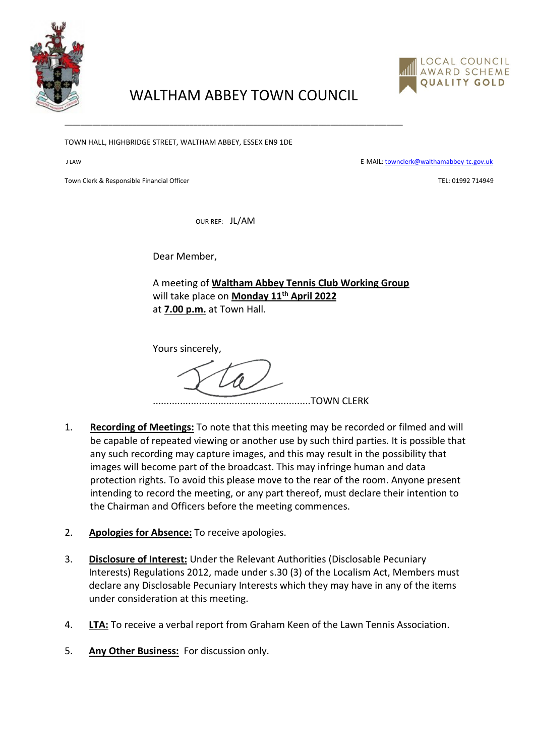

## LOCAL COUNCIL AWARD SCHEME **QUALITY GOLD**

## WALTHAM ABBEY TOWN COUNCIL

\_\_\_\_\_\_\_\_\_\_\_\_\_\_\_\_\_\_\_\_\_\_\_\_\_\_\_\_\_\_\_\_\_\_\_\_\_\_\_\_\_\_\_\_\_\_\_\_\_\_\_\_\_\_\_\_\_\_\_\_\_\_\_\_\_\_\_\_\_\_\_\_\_\_\_\_\_\_\_\_\_\_\_\_

TOWN HALL, HIGHBRIDGE STREET, WALTHAM ABBEY, ESSEX EN9 1DE

J LAW E-MAIL[: townclerk@walthamabbey-tc.gov.uk](mailto:townclerk@walthamabbey-tc.gov.uk)

Town Clerk & Responsible Financial Officer Technology and the Second School of Technology and TEL: 01992 714949

OUR REF: JL/AM

Dear Member,

A meeting of **Waltham Abbey Tennis Club Working Group**  will take place on **Monday 11th April 2022** at **7.00 p.m.** at Town Hall.

Yours sincerely,

..........................................................TOWN CLERK

- 1. **Recording of Meetings:** To note that this meeting may be recorded or filmed and will be capable of repeated viewing or another use by such third parties. It is possible that any such recording may capture images, and this may result in the possibility that images will become part of the broadcast. This may infringe human and data protection rights. To avoid this please move to the rear of the room. Anyone present intending to record the meeting, or any part thereof, must declare their intention to the Chairman and Officers before the meeting commences.
- 2. **Apologies for Absence:** To receive apologies.
- 3. **Disclosure of Interest:** Under the Relevant Authorities (Disclosable Pecuniary Interests) Regulations 2012, made under s.30 (3) of the Localism Act, Members must declare any Disclosable Pecuniary Interests which they may have in any of the items under consideration at this meeting.
- 4. **LTA:** To receive a verbal report from Graham Keen of the Lawn Tennis Association.
- 5. **Any Other Business:** For discussion only.